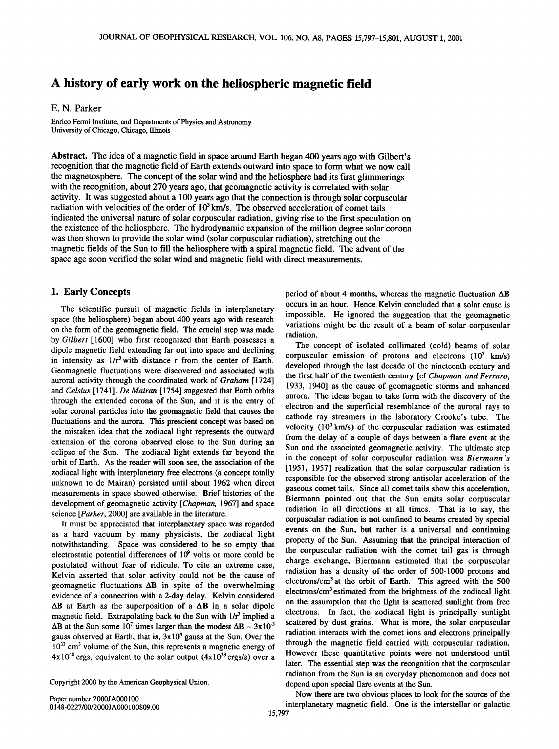# **A history of early work on the heliospheric magnetic field**

## **E. N. Parker**

**Enrico Fermi Institute, and Departments of Physics and Astronomy University of Chicago, Chicago, Illinois** 

**Abstract. The idea of a magnetic field in space around Earth began 400 years ago with Gilbert's recognition that the magnetic field of Earth extends outward into space to form what we now call the magnetosphere. The concept of the solar wind and the heliosphere had its first glimmerings with the recognition, about 270 years ago, that geomagnetic activity is correlated with solar activity. It was suggested about a 100 years ago that the connection isthrough solar corpuscular**  radiation with velocities of the order of 10<sup>3</sup> km/s. The observed acceleration of comet tails **indicated the universal nature of solar corpuscular radiation, giving rise to the first speculation on the existence of the heliosphere. The hydrodynamic expansion of the million degree solar corona was then shown to provide the solar wind (solar corpuscular radiation), stretching out the magnetic fields of the Sun to fill the heliosphere with a spiral magnetic field. The advent of the space age soon verified the solar wind and magnetic field with direct measurements.** 

### **1. Early Concepts**

**The scientific pursuit of magnetic fields in interplanetary space (the heliosphere) began about 400 years ago with research on the form of the geomagnetic field. The crucial step was made by Gilbert [1600] who first recognized that Earth possesses a dipole magnetic field extending far out into space and declining**  in intensity as  $1/r^3$  with distance r from the center of Earth. **Geomagnetic fluctuations were discovered and associated with auroral activity through the coordinated work of Graham [ 1724] and Celsius [ 1741 ]. De Mairan [ 1754] suggested that Earth orbits through the extended corona of the Sun, and it is the entry of solar coronal particles into the geomagnetic field that causes the fluctuations and the aurora. This prescient concept was based on the mistaken idea that the zodiacal light represents the outward extension of the corona observed close to the Sun during an eclipse of the Sun. The zodiacal light extends far beyond the orbit of Earth. As the reader will soon see, the association of the zodiacal light with interplanetary free electrons (a concept totally unknown to de Mairan) persisted until about 1962 when direct measurements in space showed otherwise. Brief histories of the development of geomagnetic activity [Chapman, 1967] and space science [Parker, 2000] are available in the literature.** 

**It must be appreciated that interplanetary space was regarded as a hard vacuum by many physicists, the zodiacal light notwithstanding. Space was considered to be so empty that electrostatic potential differences of 109 volts or more could be postulated without fear of ridicule. To cite an extreme case, Kelvin asserted that solar activity could not be the cause of geomagnetic fluctuations AB in spite of the overwhelming evidence of a connection with a 2-day delay. Kelvin considered**   $\Delta$ **B** at Earth as the superposition of a  $\Delta$ **B** in a solar dipole magnetic field. Extrapolating back to the Sun with  $1/r^3$  implied a  $\Delta B$  at the Sun some 10<sup>7</sup> times larger than the modest  $\Delta B \sim 3 \times 10^{-3}$ **gauss observed at Earth, that is, 3x104 gauss at the Sun. Over the 1033 cm 3 volume of the Sun, this represents a magnetic energy of**   $4x10^{40}$  ergs, equivalent to the solar output  $(4x10^{33}$  ergs/s) over a

Copyright 2000 by the American Geophysical Union.

**period of about 4 months, whereas the magnetic fluctuation AB occurs in an hour. Hence Kelvin concluded that a solar cause is impossible. He ignored the suggestion that the geomagnetic variations might be the result of a beam of solar corpuscular radiation.** 

**The concept of isolated collimated (cold) beams of solar corpuscular emission of protons and electrons (103 krn/s) developed through the last decade of the nineteenth century and the first half of the twentieth century [cf Chapman and Ferraro, 1933, 1940] as the cause of geomagnetic storms and enhanced aurora. The ideas began to take form with the discovery of the electron and the superficial resemblance of the auroral rays to cathode ray streamers in the laboratory Crooke's tube. The velocity (103 km/s) of the corpuscular radiation was estimated from the delay of a couple of days between a flare event at the Sun and the associated geomagnetic activity. The ultimate step in the concept of solar corpuscular radiation was Biermann's [1951, 1957] realization that the solar corpuscular radiation is responsible for the observed strong antisolar acceleration of the gaseous comet tails. Since all comet tails show this acceleration, Biermann pointed out that the Sun emits solar corpuscular radiation in all directions at all times. That is to say, the corpuscular radiation is not confined to beams created by special events on the Sun, but rather is a universal and continuing property of the Sun. Assuming that the principal interaction of the corpuscular radiation with the comet tail gas is through charge exchange, Biermann estimated that the corpuscular radiation has a density of the order of 500-1000 protons and electrons/cm 3at the orbit of Earth. This agreed with the 500 electrons/cm 3 estimated from the brightness of the zodiacal light on the assumption that the light is scattered sunlight from free electrons. In fact, the zodiacal light is principally sunlight scattered by dust grains. What is more, the solar corpuscular radiation interacts with the comet ions and electrons principally through the magnetic field carried with corpuscular radiation. However these quantitative points were not understood until later. The essential step was the recognition that the corpuscular radiation from the Sun is an everyday phenomenon and does not depend upon special flare events at the Sun.** 

**Now there are two obvious places to look for the source of the 0148-0227/00/2000JA000100509.00 interplanetary magnetic field. One is the interstellar or galactic**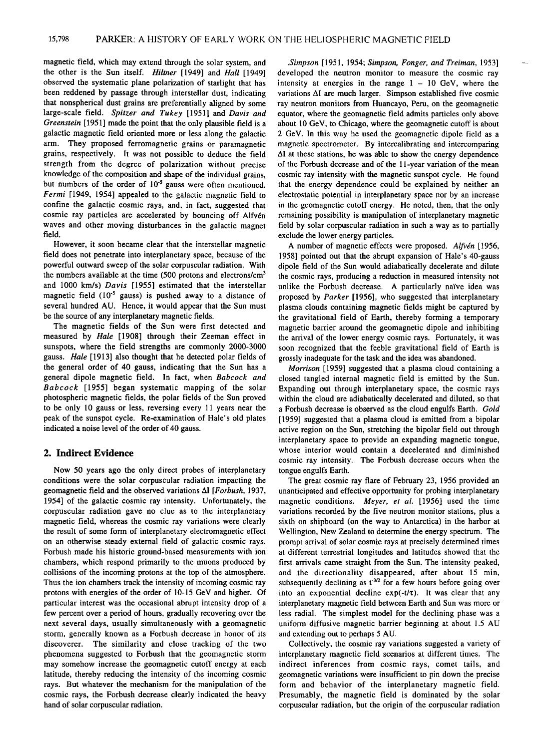**magnetic field, which may extend through the solar system, and the other is the Sun itself. Hilther [1949] and Hall [1949] observed the systematic plane polarization of starlight that has been reddened by passage through interstellar dust, indicating that nonspherical dust grains are preferentially aligned by some large-scale field. Spitzer and Tukey [1951] and Davis and Greenstein [ 1951] made the point that the only plausible field is a galactic magnetic field oriented more or less along the galactic arm. They proposed ferromagnetic grains or paramagnetic grains, respectively. It was not possible to deduce the field strength from the degree of polarization without precise knowledge of the composition and shape of the individual grains,**  but numbers of the order of 10<sup>-5</sup> gauss were often mentioned. **Fermi [1949, 1954] appealed to the galactic magnetic field to confine the galactic cosmic rays, and, in fact, suggested that**  cosmic ray particles are accelerated by bouncing off Alfvén **waves and other moving disturbances in the galactic magnet field.** 

**However, it soon became clear that the interstellar magnetic field does not penetrate into interplanetary space, because of the**  powerful outward sweep of the solar corpuscular radiation. With **the numbers available at the time (500 protons and electrons/cm 3**  and 1000 km/s) Davis [1955] estimated that the interstellar magnetic field (10<sup>-5</sup> gauss) is pushed away to a distance of **several hundred AU. Hence, it would appear that the Sun must be the source of any interplanetary magnetic fields.** 

**The magnetic fields of the Sun were first detected and measured by Hale [1908] through their Zeeman effect in sunspots, where the field strengths are commonly 2000-3000 gauss. Hale [1913] also thought that he detected polar fields of the general order of 40 gauss, indicating that the Sun has a general dipole magnetic field. In fact, when Babcock and Babcock [1955] began systematic mapping of the solar photospheric magnetic fields, the polar fields of the Sun proved to be only 10 gauss or less, reversing every 11 years near the peak of the sunspot cycle. Re-examination of Hale's old plates indicated a noise level of the order of 40 gauss.** 

#### **2. Indirect Evidence**

**Now 50 years ago the only direct probes of interplanetary conditions were the solar corpuscular radiation impacting the geomagnetic field and the observed variations AI [Forbush, 1937, 1954] of the galactic cosmic ray intensity. Unfortunately, the corpuscular radiation gave no clue as to the interplanetary magnetic field, whereas the cosmic ray variations were clearly the result of some form of interplanetary electromagnetic effect on an otherwise steady external field of galactic cosmic rays. Forbush made his historic ground-based measurements with ion chambers, which respond primarily to the muons produced by collisions of the incoming protons at the top of the atmosphere. Thus the ion chambers track the intensity of incoming cosmic ray protons with energies of the order of 10-15 GeV and higher. Of particular interest was the occasional abrupt intensity drop of a few percent over a period of hours, gradually recovering over the next several days, usually simultaneously with a geomagnetic storm, generally known as a Forbush decrease in honor of its discoverer. The similarity and close tracking of the two phenomena suggested to Forbush that the geomagnetic storm may somehow increase the geomagnetic cutoff energy at each latitude, thereby reducing the intensity of the incoming cosmic rays. But whatever the mechanism for the manipulation of the cosmic rays, the Forbush decrease clearly indicated the heavy**  hand of solar corpuscular radiation.

**.Simpson [1951, 1954; Simpson, Fonger, and Treiman, 1953] developed the neutron monitor to measure the cosmic ray intensity at energies in the range 1 - 10 GeV, where the variations AI are much larger. Simpson established five cosmic ray neutron monitors from Huancayo, Peru, on the geomagnetic equator, where the geomagnetic field admits particles only above**  about 10 GeV, to Chicago, where the geomagnetic cutoff is about **2 GeV. In this way he used the geomagnetic dipole field as a magnetic spectrometer. By intercalibrating and intercomparing AI at these stations, he was able to show the energy dependence of the Forbush decrease and of the 11-year variation of the mean cosmic ray intensity with the magnetic sunspot cycle. He found that the energy dependence could be explained by neither an electrostatic potential in interplanetary space nor by an increase in the geomagnetic cutoff energy. He noted, then, that the only remaining possibility is manipulation of interplanetary magnetic**  field by solar corpuscular radiation in such a way as to partially **exclude the lower energy particles.** 

A number of magnetic effects were proposed. Alfvén [1956, **1958] pointed out that the abrupt expansion of Hale's 40-gauss dipole field of the Sun would adiabatically decelerate and dilute the cosmic rays, producing a reduction in measured intensity not**  unlike the Forbush decrease. A particularly naïve idea was **proposed by Parker [1956], who suggested that interplanetary plasma clouds containing magnetic fields might be captured by the gravitational field of Earth, thereby forming a temporary magnetic barrier around the geomagnetic dipole and inhibiting the arrival of the lower energy cosmic rays. Fortunately, it was soon recognized that the feeble gravitational field of Earth is grossly inadequate for the task and the idea was abandoned.** 

**Morrison [1959] suggested that a plasma cloud containing a closed tangled internal magnetic field is emitted by the Sun. Expanding out through interplanetary space, the cosmic rays within the cloud are adiabatically decelerated and diluted, so that a Forbush decrease is observed as the cloud engulfs Earth. Gold [1959] suggested that a plasma cloud is emitted from a bipolar active region on the Sun, stretching the bipolar field out through interplanetary space to provide an expanding magnetic tongue, whose interior would contain a decelerated and diminished cosmic ray intensity. The Forbush decrease occurs when the tongue engulfs Earth.** 

**The great cosmic ray flare of February 23, 1956 provided an unanticipated and effective opportunity for probing interplanetary magnetic conditions. Meyer, et al. [1956] used the time variations recorded by the five neutron monitor stations, plus a sixth on shipboard (on the way to Antarctica) in the harbor at Wellington, New Zealand to determine the energy spectrum. The prompt arrival of solar cosmic rays at precisely determined times at different terrestrial longitudes and latitudes showed that the first arrivals came straight from the Sun. The intensity peaked, and the directionality disappeared, after about 15 min,**  subsequently declining as t<sup>-3/2</sup> for a few hours before going over into an exponential decline  $exp(-t/\tau)$ . It was clear that any **interplanetary magnetic field between Earth and Sun was more or less radial. The simplest model for the declining phase was a uniform diffusive magnetic barrier beginning at about 1.5 AU and extending out to perhaps 5 AU.** 

Collectively, the cosmic ray variations suggested a variety of **interplanetary magnetic field scenarios at different times. The indirect inferences from cosmic rays, comet tails, and geomagnetic variations were insufficient to pin down the precise form and behavior of the interplanetary magnetic field. Presumably, the magnetic field is dominated by the solar**  corpuscular radiation, but the origin of the corpuscular radiation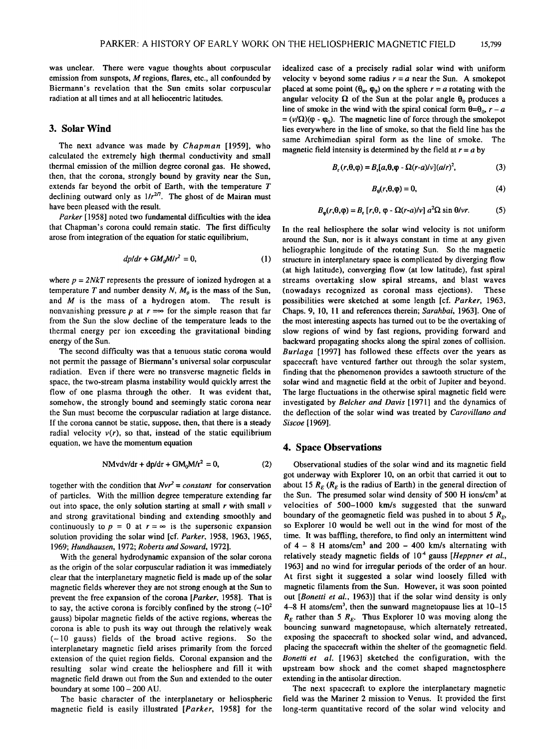**was unclear. There were vague thoughts about corpuscular emission from sunspots, M regions, flares, etc., all confounded by Biermann's revelation that the Sun emits solar corpuscular radiation at all times and at all heliocentric latitudes.** 

## **3. Solar Wind**

**The next advance was made by Chapman [1959], who calculated the extremely high thermal conductivity and small thermal emission of the million degree coronal gas. He showed, then, that the corona, strongly bound by gravity near the Sun, extends far beyond the orbit of Earth, with the temperature T**  declining outward only as  $1/r^{2/7}$ . The ghost of de Mairan must **have been pleased with the result.** 

**Parker [ 1958] noted two fundamental difficulties with the idea that Chapman's corona could remain static. The first difficulty arose from integration of the equation for static equilibrium,** 

$$
dp/dr + GM_0M/r^2 = 0,
$$
 (1)

where  $p = 2NkT$  represents the pressure of ionized hydrogen at a temperature T and number density  $N$ ,  $M_0$  is the mass of the Sun, **and M is the mass of a hydrogen atom. The result is**  nonvanishing pressure p at  $r = \infty$  for the simple reason that far **from the Sun the slow decline of the temperature leads to the thermal energy per ion exceeding the gravitational binding energy of the Sun.** 

**The second difficulty was that a tenuous static corona would not permit the passage of Biermann's universal solar corpuscular radiation. Even if there were no transverse magnetic fields in space, the two-stream plasma instability would quickly arrest the flow of one plasma through the other. It was evident that, somehow, the strongly bound and seemingly static corona near**  the Sun must become the corpuscular radiation at large distance. If the corona cannot be static, suppose, then, that there is a steady radial velocity  $v(r)$ , so that, instead of the static equilibrium **equation, we have the momentum equation** 

$$
NMvdv/dr + dp/dr + GM_0M/r^2 = 0,
$$
 (2)

together with the condition that  $Nvr^2 = constant$  for conservation **of particles. With the million degree temperature extending far out into space, the only solution starting at small r with small v and strong gravitational binding and extending smoothly and**  continuously to  $p = 0$  at  $r = \infty$  is the supersonic expansion **solution providing the solar wind [cf. Parker, 1958, 1963, 1965, 1969; Hundhausen, 1972; Roberts and Soward, 1972].** 

**With the general hydrodynamic expansion of the solar corona as the origin of the solar corpuscular radiation it was immediately clear that the interplanetary magnetic field is made up of the solar magnetic fields wherever they are not strong enough at the Sun to prevent the free expansion of the corona [Parker, 1958]. That is**  to say, the active corona is forcibly confined by the strong  $(-10^2$ **gauss) bipolar magnetic fields of the active regions, whereas the corona is able to push its way out through the relatively weak (-10 gauss) fields of the broad active regions. So the interplanetary magnetic field arises primarily from the forced extension of the quiet region fields. Coronal expansion and the resulting solar wind create the heliosphere and fill it with magnetic field drawn out from the Sun and extended to the outer boundary at some 100- 200 AU.** 

**The basic character of the interplanetary or heliospheric magnetic field is easily illustrated [Parker, 1958] for the**  **idealized case of a precisely radial solar wind with uniform**  velocity v beyond some radius  $r = a$  near the Sun. A smokepot placed at some point  $(\theta_0, \phi_0)$  on the sphere  $r = a$  rotating with the angular velocity  $\Omega$  of the Sun at the polar angle  $\theta_0$  produces a line of smoke in the wind with the spiral conical form  $\theta = \theta_0$ ,  $r - a$  $= (v/\Omega)(\varphi - \varphi_0)$ . The magnetic line of force through the smokepot **lies everywhere in the line of smoke, so that the field line has the same Archimedian spiral form as the line of smoke. The magnetic field intensity is determined by the field at**  $r = a$  **by** 

$$
B_r(r, \theta, \varphi) = B_r[a, \theta, \varphi - \Omega(r-a)/v](a/r)^2,
$$
 (3)

$$
B_{\theta}(r,\theta,\varphi)=0,\t\t(4)
$$

$$
B_{\varphi}(r,\theta,\varphi) = B_{r}[r,\theta,\varphi - \Omega(r-a)/v] a^{2}\Omega \sin \theta /vr. \tag{5}
$$

**In the real heliosphere the solar wind velocity is not uniform around the Sun, nor is it always constant in time at any given heliographic longitude of the rotating Sun. So the magnetic structure in interplanetary space is complicated by diverging flow (at high latitude), converging flow (at low latitude), fast spiral streams overtaking slow spiral streams, and blast waves**  (nowadays recognized as coronal mass ejections). **possibilities were sketched at some length [cf. Parker, 1963, Chaps. 9, 10, 11 and references therein; Sarahbai, 1963]. One of the most interesting aspects has turned out to be the overtaking of slow regions of wind by fast regions, providing forward and backward propagating shocks along the spiral zones of collision. Burlaga [1997] has followed these effects over the years as spacecraft have ventured farther out through the solar system, finding that the phenomenon provides a sawtooth structure of the solar wind and magnetic field at the orbit of Jupiter and beyond. The large fluctuations in the otherwise spiral magnetic field were investigated by Belcher and Davis [1971] and the dynamics of the deflection of the solar wind was treated by Carovillano and Siscoe [ 1969].** 

#### **4. Space Observations**

**Observational studies of the solar wind and its magnetic field got underway with Explorer 10, on an orbit that carried it out to**  about 15  $R_F$  ( $R_F$  is the radius of Earth) in the general direction of the Sun. The presumed solar wind density of 500 H ions/cm<sup>3</sup> at **velocities of 500-1000 km/s suggested that the sunward**  boundary of the geomagnetic field was pushed in to about 5  $R_E$ , **so Explorer 10 would be well out in the wind for most of the time. It was baffling, therefore, to find only an intermittent wind**  of 4 - 8 H atoms/cm<sup>3</sup> and 200 - 400 km/s alternating with relatively steady magnetic fields of 10<sup>-4</sup> gauss [*Heppner et al.*, **1963] and no wind for irregular periods of the order of an hour. At first sight it suggested a solar wind loosely filled with magnetic filaments from the Sun. However, it was soon pointed out [Bonetti et al., 1963)] that if the solar wind density is only 4-8 H atoms/cm •, then the sunward magnetopause lis at 10-15**   $R_E$  rather than 5  $R_E$ . Thus Explorer 10 was moving along the **bouncing sunward magnetopause, which alternately retreated, exposing the spacecraft to shocked solar wind, and advanced, placing the spacecraft within the shelter of the geomagnetic field. Bonetti et al. [1963] sketched the configuration, with the upstream bow shock and the comet shaped magnetosphere extending in the antisolar direction.** 

The next spacecraft to explore the interplanetary magnetic **field was the Mariner 2 mission to Venus. It provided the first long-term quantitative record of the solar wind velocity and**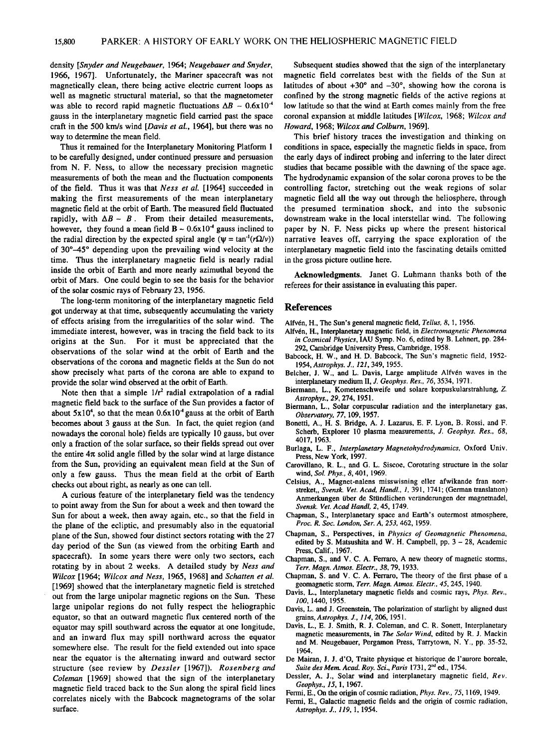**density [Snyder and Neugebauer, 1964; Neugebauer and Snyder, 1966, 1967]. Unfortunately, the Mariner spacecraft was not magnetically clean, there being active electric current loops as well as magnetic structural material, so that the magnetometer**  was able to record rapid magnetic fluctuations  $\Delta B \sim 0.6x10^{-4}$ **gauss in the interplanetary magnetic field carried past the space craft in the 500 km/s wind [Davis et al., 1964], but there was no way to determine the mean field.** 

**Thus it remained for the Interplanetary Monitoring Platform 1 to be carefully designed, under continued pressure and persuasion from N. F. Ness, to allow the necessary precision magnetic measurements of both the mean and the fluctuation components of the field. Thus it was that Ness et al. [1964] succeeded in making the first measurements of the mean interplanetary magnetic field at the orbit of Earth. The measured field fluctuated**  rapidly, with  $\Delta B \sim B$ . From their detailed measurements, however, they found a mean field  $B \sim 0.6x10^{-4}$  gauss inclined to the radial direction by the expected spiral angle ( $\psi = \tan^{-1}(r\Omega/\nu)$ ) of 30°–45° depending upon the prevailing wind velocity at the **time. Thus the interplanetary magnetic field is nearly radial inside the orbit of Earth and more nearly azimuthal beyond the orbit of Mars. One could begin to see the basis for the behavior of the solar cosmic rays of February 23, 1956.** 

**The long-term monitoring of the interplanetary magnetic field got underway at that time, subsequently accumulating the variety of effects arising from the irregularities of the solar wind. The immediate interest, however, was in tracing the field back to its origins at the Sun. For it must be appreciated that the observations of the solar wind at the orbit of Earth and the observations of the corona and magnetic fields at the Sun do not show precisely what parts of the corona are able to expand to provide the solar wind observed at the orbit of Earth.** 

Note then that a simple  $1/r^2$  radial extrapolation of a radial **magnetic field back to the surface of the Sun provides a factor of**  about  $5x10^4$ , so that the mean  $0.6x10^4$  gauss at the orbit of Earth **becomes about 3 gauss at the Sun. In fact, the quiet region (and nowadays the coronal hole) fields are typically 10 gauss, but over only a fraction of the solar surface, so their fields spread out over**  the entire  $4\pi$  solid angle filled by the solar wind at large distance **from the Sun, providing an equivalent mean field at the Sun of only a few gauss. Thus the mean field at the orbit of Earth checks out about right, as nearly as one can tell.** 

**A curious feature of the interplanetary field was the tendency to point away from the Sun for about a week and then toward the Sun for about a week, then away again, etc., so that the field in the plane of the ecliptic, and presumably also in the equatorial plane of the Sun, showed four distinct sectors rotating with the 27 day period of the Sun (as viewed from the orbiting Earth and spacecraft). In some years there were only two sectors, each rotating by in about 2 weeks. A detailed study by Ness and Wilcox [1964; Wilcox and Ness, 1965, 1968] and Schatten et al. [1969] showed that the interplanetary magnetic field is stretched out from the large unipolar magnetic regions on the Sun. These large unipolar regions do not fully respect the heliographic equator, so that an outward magnetic flux centered north of the equator may spill southward across the equator at one longitude, and an inward flux may spill northward across the equator somewhere else. The result for the field extended out into space near the equator is the alternating inward and outward sector structure (see review by Dessler [1967]). Rosenberg and Coleman [1969] showed that the sign of the interplanetary magnetic field traced back to the Sun along the spiral field lines correlates nicely with the Babcock magnetograms of the solar surface.** 

**Subsequent studies showed that the sign of the interplanetary magnetic field correlates best with the fields of the Sun at**  latitudes of about  $+30^\circ$  and  $-30^\circ$ , showing how the corona is **confined by the strong magnetic fields of the active regions at low latitude so that the wind at Earth comes mainly from the free coronal expansion at middle latitudes [Wilcox, 1968; Wilcox and Howard, 1968; Wilcox and Colburn, 1969].** 

**This brief history traces the investigation and thinking on conditions in space, especially the magnetic fields in space, from the early days of indirect probing and inferring to the later direct studies that became possible with the dawning of the space age. The hydrodynamic expansion of the solar corona proves to be the controlling factor, stretching out the weak regions of solar magnetic field all the way out through the heliosphere, through the presumed termination shock, and into the subsonic downstream wake in the local interstellar wind. The following paper by N. F. Ness picks up where the present historical narrative leaves off, carrying the space exploration of the interplanetary magnetic field into the fascinating details omitted in the gross picture outline here.** 

**Acknowledgments. Janet G. Luhmann thanks both of the referees for their assistance in evaluating this paper.** 

#### **References**

Alfvén, H., The Sun's general magnetic field, *Tellus*, 8, 1, 1956.

- **Alfv6n, H., Interplanetary magnetic field, in Electromagnetic Phenomena in Cosmical Physics, IAU Symp. No. 6, edited by B. Lehnert, pp. 284-**  292, Cambridge University Press, Cambridge, 1958.
- **Babcock, H. W., and H. D. Babcock, The Sun's magnetic field, 1952- 1954, Astrophys. J., 121,349, 1955.**
- Belcher, J. W., and L. Davis, Large amplitude Alfvén waves in the **interplanetary medium II, J. Geophys. Res., 76, 3534, 1971.**
- **Biermann, L., Kometenschweife und solare korpuskularstrahlung, Z. Astrophys., 29, 274, 1951.**
- **Biermann, L., Solar corpuscular radiation and the interplanetary gas, Observatory, 77, 109, 1957.**
- **Bonetti, A., H. S. Bridge, A. J. Lazarus, E. F. Lyon, B. Rossi, and F. Scherb, Explorer 10 plasma measurements, J. Geophys. Res., 68, 4017, 1963.**
- **Burlaga, L. F., Interplanetary Magnetohydrodynamics, Oxford Univ. Press, New York, 1997.**
- **Carovillano, R. L., and G. L. Siscoe, Corotating structure in the solar wind, Sol. Phys., 8, 401, 1969.**
- **Celsius, A., Magnet-nalens misswisning eller afwikande fran norrstreket,, Svensk. Vet. Acad, HandI., 1, 391, 1741; (German translation)**  Anmerkungen über de Stündlichen veränderungen der magnetnadel, **Svensk. Vet. Acad HandI, 2, 45, 1749.**
- **Chapman, S., Interplanetary space and Earth's outermost atmosphere, Proc. R. Soc. London, Ser. A, 253, 462, 1959.**
- **Chapman, S., Perspectives, in Physics of Geomagnetic Phenomena, edited by S. Matsushita and W. H. Campbell, pp. 3 - 28, Academic Press, Calif., 1967.**
- **Chapman, S., and V. C. A. Ferraro, A new theory of magnetic storms, Terr. Magn. Atmos. Electr., 38, 79, 1933.**
- **Chapman, S. and V. C. A. Ferraro, The theory of the first phase of a geomagnetic storm, Terr. Magn. Atmos. EIectr., 45, 245, 1940.**
- **Davis, L., Interplanetary magnetic fields and cosmic rays, Phys. Rev., 100, 1440, 1955.**
- **Davis, L. and J. Greenstein, The polarization of starlight by aligned dust grains, Astrophys. J., 114, 206, 1951.**
- **Davis, L., E. J. Smith, R. J. Coleman, and C. R. Sonett, Interplanetary magnetic measurements, inThe Solar Wind, edited by R. J. Mackin and M. Neugebauer, Pergamon Press, Tarrytown, N.Y., pp. 35-52, 1964.**
- **De Mairan, J. J. d'O, Traite physique et historique de l'aurore boreale,**  Suite des Mem. Acad. Roy. Sci., Paris 1731, 2<sup>nd</sup> ed., 1754.
- **Dessler, A. J., Solar wind and interplanetary magnetic field, Rev. Geophys., 15, 1, 1967.**
- **Fermi, E., On the origin of cosmic radiation, Phys. Rev., 75, 1169, 1949.**
- **Fermi, E., Galactic magnetic fields and the origin of cosmic radiation, Astrophys. J., 119, 1, 1954.**